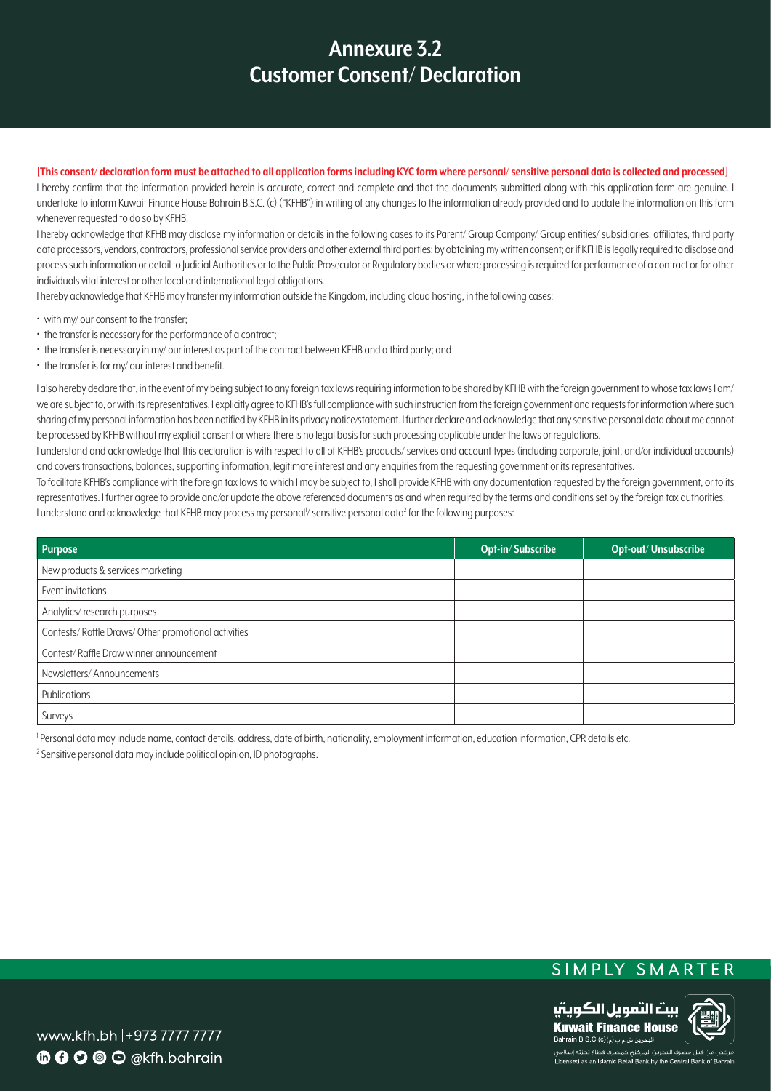## **3.2 Annexure Customer Consent/Declaration**

[This consent/declaration form must be attached to all application forms including KYC form where personal/sensitive personal data is collected and processed]

I hereby confirm that the information provided herein is accurate, correct and complete and that the documents submitted along with this application form are genuine. I undertake to inform Kuwait Finance House Bahrain B.S.C. (c) ("KFHB") in writing of any changes to the information already provided and to update the information on this form whenever requested to do so by KFHB.

I hereby acknowledge that KFHB may disclose my information or details in the following cases to its Parent/ Group Company/ Group entities/ subsidiaries, affiliates, third party data processors, vendors, contractors, professional service providers and other external third parties: by obtaining my written consent; or if KFHB is legally required to disclose and process such information or detail to Judicial Authorities or to the Public Prosecutor or Regulatory bodies or where processing is required for performance of a contract or for other individuals vital interest or other local and international legal obligations.

I hereby acknowledge that KFHB may transfer my information outside the Kingdom, including cloud hosting, in the following cases:

- with my/ our consent to the transfer;
- the transfer is necessary for the performance of a contract;
- the transfer is necessary in my/ our interest as part of the contract between KFHB and a third party; and
- $\cdot$  the transfer is for my/our interest and benefit.

I also hereby declare that, in the event of my being subject to any foreign tax laws requiring information to be shared by KFHB with the foreign government to whose tax laws I am/ we are subject to, or with its representatives, I explicitly agree to KFHB's full compliance with such instruction from the foreign government and requests for information where such sharing of my personal information has been notified by KFHB in its privacy notice/statement. I further declare and acknowledge that any sensitive personal data about me cannot be processed by KFHB without my explicit consent or where there is no legal basis for such processing applicable under the laws or regulations.

I understand and acknowledae that this declaration is with respect to all of KFHB's products/ services and account types (including corporate, joint, and/or individual accounts) and covers transactions, balances, supporting information, legitimate interest and any enquiries from the requesting government or its representatives.

To facilitate KFHB's compliance with the foreign tax laws to which I may be subject to, I shall provide KFHB with any documentation requested by the foreign government, or to its representatives. I further agree to provide and/or update the above referenced documents as and when required by the terms and conditions set by the foreign tax authorities. I understand and acknowledge that KFHB may process my personal<sup>l</sup>/ sensitive personal data<sup>2</sup> for the following purposes:

| <b>Purpose</b>                                     | <b>Opt-in/Subscribe</b> | <b>Opt-out/Unsubscribe</b> |
|----------------------------------------------------|-------------------------|----------------------------|
| New products & services marketing                  |                         |                            |
| Event invitations                                  |                         |                            |
| Analytics/research purposes                        |                         |                            |
| Contests/Raffle Draws/Other promotional activities |                         |                            |
| Contest/Raffle Draw winner announcement            |                         |                            |
| Newsletters/Announcements                          |                         |                            |
| Publications                                       |                         |                            |
| Surveys                                            |                         |                            |

Personal data may include name, contact details, address, date of birth, nationality, employment information, education information, CPR details etc.

 $2$  Sensitive personal data may include political opinion, ID photographs.





www.kfh.bh |+973 7777 7777  $\mathbf{\Phi} \mathbf{\Theta} \mathbf{\Theta} \mathbf{\Theta} \mathbf{\Theta}$  @kfh.bahrain

.<br>ي من قبل مصرف البحرين المركزي كمصرف قطاع تجزئة إسلامي Licensed as an Islamic Retail Bank by the Central Bank of E